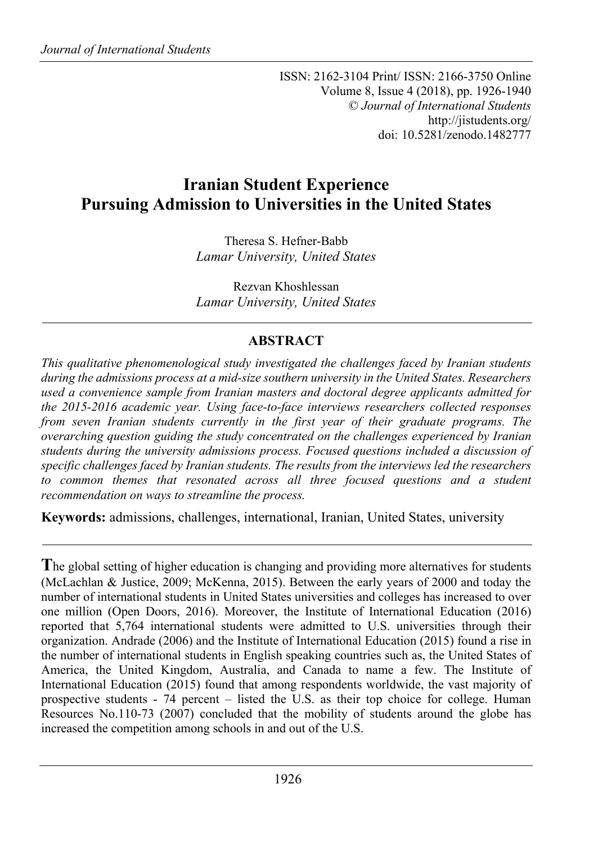ISSN: 2162-3104 Print/ ISSN: 2166-3750 Online Volume 8, Issue 4 (2018), pp. 1926-1940 © *Journal of International Students* http://jistudents.org/ doi: 10.5281/zenodo.1482777

# **Iranian Student Experience Pursuing Admission to Universities in the United States**

Theresa S. Hefner-Babb *Lamar University, United States*

Rezvan Khoshlessan *Lamar University, United States*

# **ABSTRACT**

*This qualitative phenomenological study investigated the challenges faced by Iranian students during the admissions process at a mid-size southern university in the United States. Researchers used a convenience sample from Iranian masters and doctoral degree applicants admitted for the 2015-2016 academic year. Using face-to-face interviews researchers collected responses from seven Iranian students currently in the first year of their graduate programs. The overarching question guiding the study concentrated on the challenges experienced by Iranian students during the university admissions process. Focused questions included a discussion of specific challenges faced by Iranian students. The results from the interviews led the researchers to common themes that resonated across all three focused questions and a student recommendation on ways to streamline the process.*

**Keywords:** admissions, challenges, international, Iranian, United States, university

**T**he global setting of higher education is changing and providing more alternatives for students (McLachlan & Justice, 2009; McKenna, 2015). Between the early years of 2000 and today the number of international students in United States universities and colleges has increased to over one million (Open Doors, 2016). Moreover, the Institute of International Education (2016) reported that 5,764 international students were admitted to U.S. universities through their organization. Andrade (2006) and the Institute of International Education (2015) found a rise in the number of international students in English speaking countries such as, the United States of America, the United Kingdom, Australia, and Canada to name a few. The Institute of International Education (2015) found that among respondents worldwide, the vast majority of prospective students - 74 percent – listed the U.S. as their top choice for college. Human Resources No.110-73 (2007) concluded that the mobility of students around the globe has increased the competition among schools in and out of the U.S.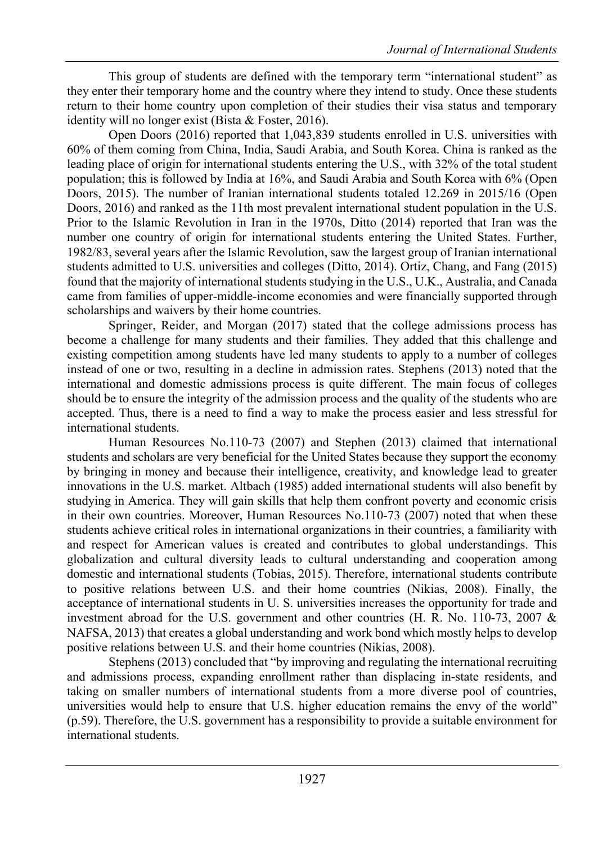This group of students are defined with the temporary term "international student" as they enter their temporary home and the country where they intend to study. Once these students return to their home country upon completion of their studies their visa status and temporary identity will no longer exist (Bista & Foster, 2016).

Open Doors (2016) reported that 1,043,839 students enrolled in U.S. universities with 60% of them coming from China, India, Saudi Arabia, and South Korea. China is ranked as the leading place of origin for international students entering the U.S., with 32% of the total student population; this is followed by India at 16%, and Saudi Arabia and South Korea with 6% (Open Doors, 2015). The number of Iranian international students totaled 12.269 in 2015/16 (Open Doors, 2016) and ranked as the 11th most prevalent international student population in the U.S. Prior to the Islamic Revolution in Iran in the 1970s, Ditto (2014) reported that Iran was the number one country of origin for international students entering the United States. Further, 1982/83, several years after the Islamic Revolution, saw the largest group of Iranian international students admitted to U.S. universities and colleges (Ditto, 2014). Ortiz, Chang, and Fang (2015) found that the majority of international students studying in the U.S., U.K., Australia, and Canada came from families of upper-middle-income economies and were financially supported through scholarships and waivers by their home countries.

Springer, Reider, and Morgan (2017) stated that the college admissions process has become a challenge for many students and their families. They added that this challenge and existing competition among students have led many students to apply to a number of colleges instead of one or two, resulting in a decline in admission rates. Stephens (2013) noted that the international and domestic admissions process is quite different. The main focus of colleges should be to ensure the integrity of the admission process and the quality of the students who are accepted. Thus, there is a need to find a way to make the process easier and less stressful for international students.

Human Resources No.110-73 (2007) and Stephen (2013) claimed that international students and scholars are very beneficial for the United States because they support the economy by bringing in money and because their intelligence, creativity, and knowledge lead to greater innovations in the U.S. market. Altbach (1985) added international students will also benefit by studying in America. They will gain skills that help them confront poverty and economic crisis in their own countries. Moreover, Human Resources No.110-73 (2007) noted that when these students achieve critical roles in international organizations in their countries, a familiarity with and respect for American values is created and contributes to global understandings. This globalization and cultural diversity leads to cultural understanding and cooperation among domestic and international students (Tobias, 2015). Therefore, international students contribute to positive relations between U.S. and their home countries (Nikias, 2008). Finally, the acceptance of international students in U. S. universities increases the opportunity for trade and investment abroad for the U.S. government and other countries (H. R. No. 110-73, 2007 & NAFSA, 2013) that creates a global understanding and work bond which mostly helps to develop positive relations between U.S. and their home countries (Nikias, 2008).

Stephens (2013) concluded that "by improving and regulating the international recruiting and admissions process, expanding enrollment rather than displacing in-state residents, and taking on smaller numbers of international students from a more diverse pool of countries, universities would help to ensure that U.S. higher education remains the envy of the world" (p.59). Therefore, the U.S. government has a responsibility to provide a suitable environment for international students.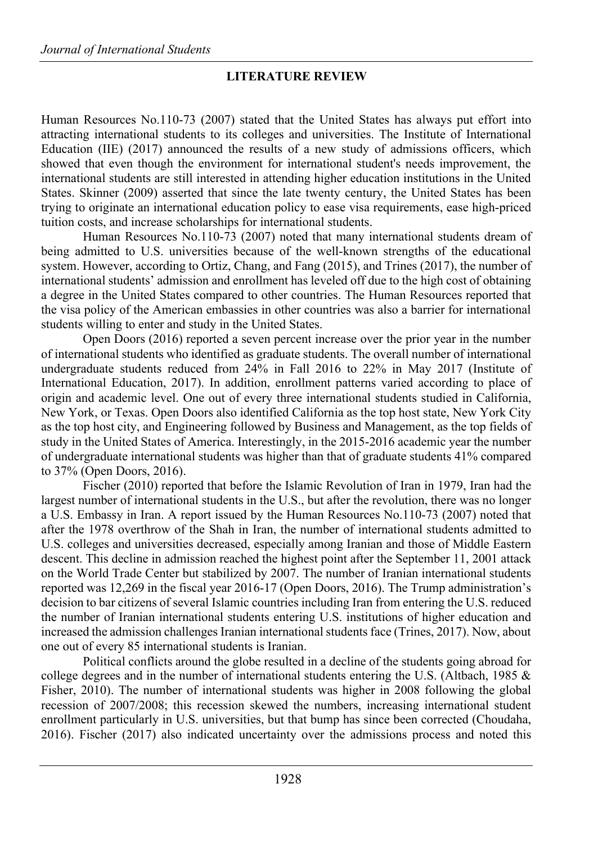## **LITERATURE REVIEW**

Human Resources No.110-73 (2007) stated that the United States has always put effort into attracting international students to its colleges and universities. The Institute of International Education (IIE) (2017) announced the results of a new study of admissions officers, which showed that even though the environment for international student's needs improvement, the international students are still interested in attending higher education institutions in the United States. Skinner (2009) asserted that since the late twenty century, the United States has been trying to originate an international education policy to ease visa requirements, ease high-priced tuition costs, and increase scholarships for international students.

Human Resources No.110-73 (2007) noted that many international students dream of being admitted to U.S. universities because of the well-known strengths of the educational system. However, according to Ortiz, Chang, and Fang (2015), and Trines (2017), the number of international students' admission and enrollment has leveled off due to the high cost of obtaining a degree in the United States compared to other countries. The Human Resources reported that the visa policy of the American embassies in other countries was also a barrier for international students willing to enter and study in the United States.

Open Doors (2016) reported a seven percent increase over the prior year in the number of international students who identified as graduate students. The overall number of international undergraduate students reduced from 24% in Fall 2016 to 22% in May 2017 (Institute of International Education, 2017). In addition, enrollment patterns varied according to place of origin and academic level. One out of every three international students studied in California, New York, or Texas. Open Doors also identified California as the top host state, New York City as the top host city, and Engineering followed by Business and Management, as the top fields of study in the United States of America. Interestingly, in the 2015-2016 academic year the number of undergraduate international students was higher than that of graduate students 41% compared to 37% (Open Doors, 2016).

Fischer (2010) reported that before the Islamic Revolution of Iran in 1979, Iran had the largest number of international students in the U.S., but after the revolution, there was no longer a U.S. Embassy in Iran. A report issued by the Human Resources No.110-73 (2007) noted that after the 1978 overthrow of the Shah in Iran, the number of international students admitted to U.S. colleges and universities decreased, especially among Iranian and those of Middle Eastern descent. This decline in admission reached the highest point after the September 11, 2001 attack on the World Trade Center but stabilized by 2007. The number of Iranian international students reported was 12,269 in the fiscal year 2016-17 (Open Doors, 2016). The Trump administration's decision to bar citizens of several Islamic countries including Iran from entering the U.S. reduced the number of Iranian international students entering U.S. institutions of higher education and increased the admission challenges Iranian international students face (Trines, 2017). Now, about one out of every 85 international students is Iranian.

Political conflicts around the globe resulted in a decline of the students going abroad for college degrees and in the number of international students entering the U.S. (Altbach, 1985  $\&$ Fisher, 2010). The number of international students was higher in 2008 following the global recession of 2007/2008; this recession skewed the numbers, increasing international student enrollment particularly in U.S. universities, but that bump has since been corrected (Choudaha, 2016). Fischer (2017) also indicated uncertainty over the admissions process and noted this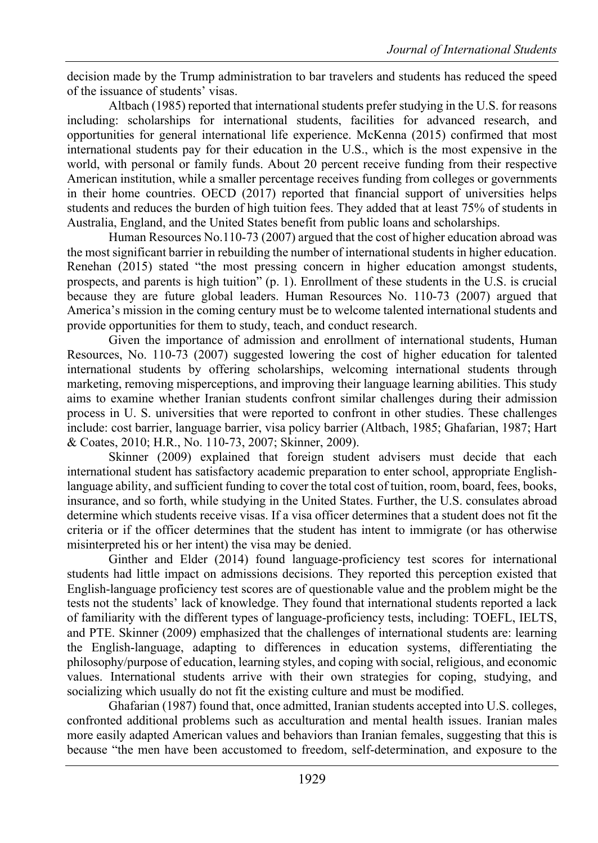decision made by the Trump administration to bar travelers and students has reduced the speed of the issuance of students' visas.

Altbach (1985) reported that international students prefer studying in the U.S. for reasons including: scholarships for international students, facilities for advanced research, and opportunities for general international life experience. McKenna (2015) confirmed that most international students pay for their education in the U.S., which is the most expensive in the world, with personal or family funds. About 20 percent receive funding from their respective American institution, while a smaller percentage receives funding from colleges or governments in their home countries. OECD (2017) reported that financial support of universities helps students and reduces the burden of high tuition fees. They added that at least 75% of students in Australia, England, and the United States benefit from public loans and scholarships.

Human Resources No.110-73 (2007) argued that the cost of higher education abroad was the most significant barrier in rebuilding the number of international students in higher education. Renehan (2015) stated "the most pressing concern in higher education amongst students, prospects, and parents is high tuition" (p. 1). Enrollment of these students in the U.S. is crucial because they are future global leaders. Human Resources No. 110-73 (2007) argued that America's mission in the coming century must be to welcome talented international students and provide opportunities for them to study, teach, and conduct research.

Given the importance of admission and enrollment of international students, Human Resources, No. 110-73 (2007) suggested lowering the cost of higher education for talented international students by offering scholarships, welcoming international students through marketing, removing misperceptions, and improving their language learning abilities. This study aims to examine whether Iranian students confront similar challenges during their admission process in U. S. universities that were reported to confront in other studies. These challenges include: cost barrier, language barrier, visa policy barrier (Altbach, 1985; Ghafarian, 1987; Hart & Coates, 2010; H.R., No. 110-73, 2007; Skinner, 2009).

Skinner (2009) explained that foreign student advisers must decide that each international student has satisfactory academic preparation to enter school, appropriate Englishlanguage ability, and sufficient funding to cover the total cost of tuition, room, board, fees, books, insurance, and so forth, while studying in the United States. Further, the U.S. consulates abroad determine which students receive visas. If a visa officer determines that a student does not fit the criteria or if the officer determines that the student has intent to immigrate (or has otherwise misinterpreted his or her intent) the visa may be denied.

Ginther and Elder (2014) found language-proficiency test scores for international students had little impact on admissions decisions. They reported this perception existed that English-language proficiency test scores are of questionable value and the problem might be the tests not the students' lack of knowledge. They found that international students reported a lack of familiarity with the different types of language-proficiency tests, including: TOEFL, IELTS, and PTE. Skinner (2009) emphasized that the challenges of international students are: learning the English-language, adapting to differences in education systems, differentiating the philosophy/purpose of education, learning styles, and coping with social, religious, and economic values. International students arrive with their own strategies for coping, studying, and socializing which usually do not fit the existing culture and must be modified.

Ghafarian (1987) found that, once admitted, Iranian students accepted into U.S. colleges, confronted additional problems such as acculturation and mental health issues. Iranian males more easily adapted American values and behaviors than Iranian females, suggesting that this is because "the men have been accustomed to freedom, self-determination, and exposure to the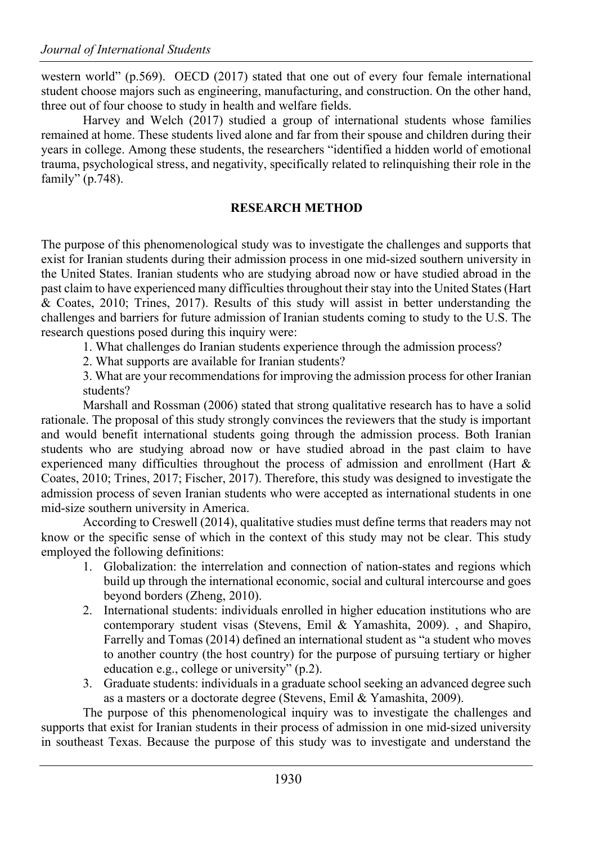western world" (p.569). OECD (2017) stated that one out of every four female international student choose majors such as engineering, manufacturing, and construction. On the other hand, three out of four choose to study in health and welfare fields.

Harvey and Welch (2017) studied a group of international students whose families remained at home. These students lived alone and far from their spouse and children during their years in college. Among these students, the researchers "identified a hidden world of emotional trauma, psychological stress, and negativity, specifically related to relinquishing their role in the family" (p.748).

## **RESEARCH METHOD**

The purpose of this phenomenological study was to investigate the challenges and supports that exist for Iranian students during their admission process in one mid-sized southern university in the United States. Iranian students who are studying abroad now or have studied abroad in the past claim to have experienced many difficulties throughout their stay into the United States (Hart & Coates, 2010; Trines, 2017). Results of this study will assist in better understanding the challenges and barriers for future admission of Iranian students coming to study to the U.S. The research questions posed during this inquiry were:

1. What challenges do Iranian students experience through the admission process?

2. What supports are available for Iranian students?

3. What are your recommendations for improving the admission process for other Iranian students?

Marshall and Rossman (2006) stated that strong qualitative research has to have a solid rationale. The proposal of this study strongly convinces the reviewers that the study is important and would benefit international students going through the admission process. Both Iranian students who are studying abroad now or have studied abroad in the past claim to have experienced many difficulties throughout the process of admission and enrollment (Hart & Coates, 2010; Trines, 2017; Fischer, 2017). Therefore, this study was designed to investigate the admission process of seven Iranian students who were accepted as international students in one mid-size southern university in America.

According to Creswell (2014), qualitative studies must define terms that readers may not know or the specific sense of which in the context of this study may not be clear. This study employed the following definitions:

- 1. Globalization: the interrelation and connection of nation-states and regions which build up through the international economic, social and cultural intercourse and goes beyond borders (Zheng, 2010).
- 2. International students: individuals enrolled in higher education institutions who are contemporary student visas (Stevens, Emil & Yamashita, 2009). , and Shapiro, Farrelly and Tomas (2014) defined an international student as "a student who moves to another country (the host country) for the purpose of pursuing tertiary or higher education e.g., college or university" (p.2).
- 3. Graduate students: individuals in a graduate school seeking an advanced degree such as a masters or a doctorate degree (Stevens, Emil & Yamashita, 2009).

The purpose of this phenomenological inquiry was to investigate the challenges and supports that exist for Iranian students in their process of admission in one mid-sized university in southeast Texas. Because the purpose of this study was to investigate and understand the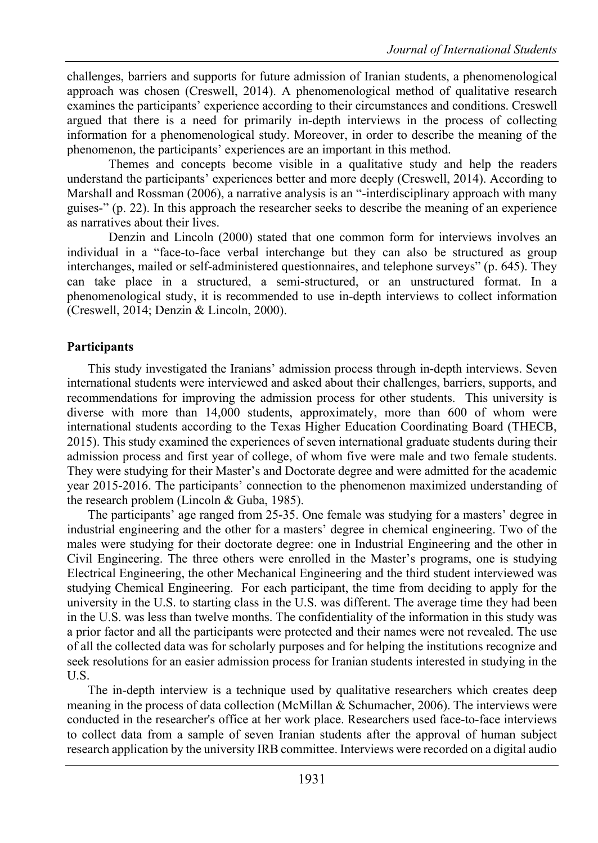challenges, barriers and supports for future admission of Iranian students, a phenomenological approach was chosen (Creswell, 2014). A phenomenological method of qualitative research examines the participants' experience according to their circumstances and conditions. Creswell argued that there is a need for primarily in-depth interviews in the process of collecting information for a phenomenological study. Moreover, in order to describe the meaning of the phenomenon, the participants' experiences are an important in this method.

Themes and concepts become visible in a qualitative study and help the readers understand the participants' experiences better and more deeply (Creswell, 2014). According to Marshall and Rossman (2006), a narrative analysis is an "-interdisciplinary approach with many guises-" (p. 22). In this approach the researcher seeks to describe the meaning of an experience as narratives about their lives.

Denzin and Lincoln (2000) stated that one common form for interviews involves an individual in a "face-to-face verbal interchange but they can also be structured as group interchanges, mailed or self-administered questionnaires, and telephone surveys" (p. 645). They can take place in a structured, a semi-structured, or an unstructured format. In a phenomenological study, it is recommended to use in-depth interviews to collect information (Creswell, 2014; Denzin & Lincoln, 2000).

#### **Participants**

This study investigated the Iranians' admission process through in-depth interviews. Seven international students were interviewed and asked about their challenges, barriers, supports, and recommendations for improving the admission process for other students. This university is diverse with more than 14,000 students, approximately, more than 600 of whom were international students according to the Texas Higher Education Coordinating Board (THECB, 2015). This study examined the experiences of seven international graduate students during their admission process and first year of college, of whom five were male and two female students. They were studying for their Master's and Doctorate degree and were admitted for the academic year 2015-2016. The participants' connection to the phenomenon maximized understanding of the research problem (Lincoln & Guba, 1985).

The participants' age ranged from 25-35. One female was studying for a masters' degree in industrial engineering and the other for a masters' degree in chemical engineering. Two of the males were studying for their doctorate degree: one in Industrial Engineering and the other in Civil Engineering. The three others were enrolled in the Master's programs, one is studying Electrical Engineering, the other Mechanical Engineering and the third student interviewed was studying Chemical Engineering. For each participant, the time from deciding to apply for the university in the U.S. to starting class in the U.S. was different. The average time they had been in the U.S. was less than twelve months. The confidentiality of the information in this study was a prior factor and all the participants were protected and their names were not revealed. The use of all the collected data was for scholarly purposes and for helping the institutions recognize and seek resolutions for an easier admission process for Iranian students interested in studying in the U.S.

The in-depth interview is a technique used by qualitative researchers which creates deep meaning in the process of data collection (McMillan & Schumacher, 2006). The interviews were conducted in the researcher's office at her work place. Researchers used face-to-face interviews to collect data from a sample of seven Iranian students after the approval of human subject research application by the university IRB committee. Interviews were recorded on a digital audio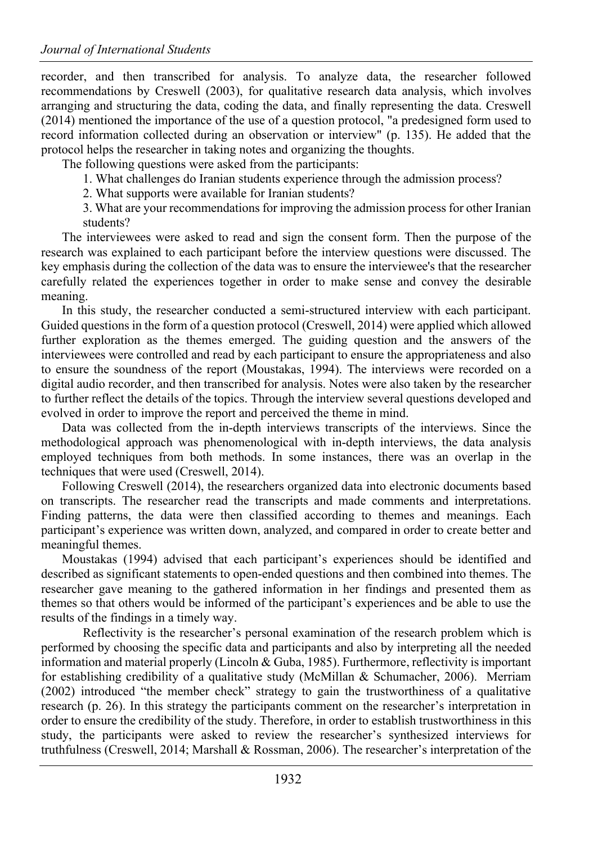recorder, and then transcribed for analysis. To analyze data, the researcher followed recommendations by Creswell (2003), for qualitative research data analysis, which involves arranging and structuring the data, coding the data, and finally representing the data. Creswell (2014) mentioned the importance of the use of a question protocol, "a predesigned form used to record information collected during an observation or interview" (p. 135). He added that the protocol helps the researcher in taking notes and organizing the thoughts.

The following questions were asked from the participants:

- 1. What challenges do Iranian students experience through the admission process?
- 2. What supports were available for Iranian students?
- 3. What are your recommendations for improving the admission process for other Iranian students?

The interviewees were asked to read and sign the consent form. Then the purpose of the research was explained to each participant before the interview questions were discussed. The key emphasis during the collection of the data was to ensure the interviewee's that the researcher carefully related the experiences together in order to make sense and convey the desirable meaning.

In this study, the researcher conducted a semi-structured interview with each participant. Guided questions in the form of a question protocol (Creswell, 2014) were applied which allowed further exploration as the themes emerged. The guiding question and the answers of the interviewees were controlled and read by each participant to ensure the appropriateness and also to ensure the soundness of the report (Moustakas, 1994). The interviews were recorded on a digital audio recorder, and then transcribed for analysis. Notes were also taken by the researcher to further reflect the details of the topics. Through the interview several questions developed and evolved in order to improve the report and perceived the theme in mind.

Data was collected from the in-depth interviews transcripts of the interviews. Since the methodological approach was phenomenological with in-depth interviews, the data analysis employed techniques from both methods. In some instances, there was an overlap in the techniques that were used (Creswell, 2014).

Following Creswell (2014), the researchers organized data into electronic documents based on transcripts. The researcher read the transcripts and made comments and interpretations. Finding patterns, the data were then classified according to themes and meanings. Each participant's experience was written down, analyzed, and compared in order to create better and meaningful themes.

Moustakas (1994) advised that each participant's experiences should be identified and described as significant statements to open-ended questions and then combined into themes. The researcher gave meaning to the gathered information in her findings and presented them as themes so that others would be informed of the participant's experiences and be able to use the results of the findings in a timely way.

Reflectivity is the researcher's personal examination of the research problem which is performed by choosing the specific data and participants and also by interpreting all the needed information and material properly (Lincoln & Guba, 1985). Furthermore, reflectivity is important for establishing credibility of a qualitative study (McMillan & Schumacher, 2006). Merriam (2002) introduced "the member check" strategy to gain the trustworthiness of a qualitative research (p. 26). In this strategy the participants comment on the researcher's interpretation in order to ensure the credibility of the study. Therefore, in order to establish trustworthiness in this study, the participants were asked to review the researcher's synthesized interviews for truthfulness (Creswell, 2014; Marshall & Rossman, 2006). The researcher's interpretation of the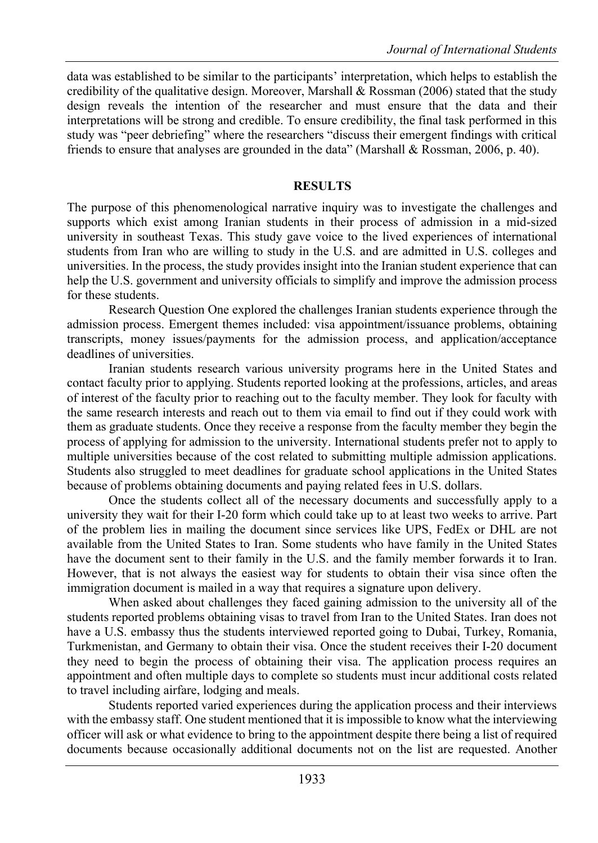data was established to be similar to the participants' interpretation, which helps to establish the credibility of the qualitative design. Moreover, Marshall & Rossman (2006) stated that the study design reveals the intention of the researcher and must ensure that the data and their interpretations will be strong and credible. To ensure credibility, the final task performed in this study was "peer debriefing" where the researchers "discuss their emergent findings with critical friends to ensure that analyses are grounded in the data" (Marshall & Rossman, 2006, p. 40).

#### **RESULTS**

The purpose of this phenomenological narrative inquiry was to investigate the challenges and supports which exist among Iranian students in their process of admission in a mid-sized university in southeast Texas. This study gave voice to the lived experiences of international students from Iran who are willing to study in the U.S. and are admitted in U.S. colleges and universities. In the process, the study provides insight into the Iranian student experience that can help the U.S. government and university officials to simplify and improve the admission process for these students.

Research Question One explored the challenges Iranian students experience through the admission process. Emergent themes included: visa appointment/issuance problems, obtaining transcripts, money issues/payments for the admission process, and application/acceptance deadlines of universities.

Iranian students research various university programs here in the United States and contact faculty prior to applying. Students reported looking at the professions, articles, and areas of interest of the faculty prior to reaching out to the faculty member. They look for faculty with the same research interests and reach out to them via email to find out if they could work with them as graduate students. Once they receive a response from the faculty member they begin the process of applying for admission to the university. International students prefer not to apply to multiple universities because of the cost related to submitting multiple admission applications. Students also struggled to meet deadlines for graduate school applications in the United States because of problems obtaining documents and paying related fees in U.S. dollars.

Once the students collect all of the necessary documents and successfully apply to a university they wait for their I-20 form which could take up to at least two weeks to arrive. Part of the problem lies in mailing the document since services like UPS, FedEx or DHL are not available from the United States to Iran. Some students who have family in the United States have the document sent to their family in the U.S. and the family member forwards it to Iran. However, that is not always the easiest way for students to obtain their visa since often the immigration document is mailed in a way that requires a signature upon delivery.

When asked about challenges they faced gaining admission to the university all of the students reported problems obtaining visas to travel from Iran to the United States. Iran does not have a U.S. embassy thus the students interviewed reported going to Dubai, Turkey, Romania, Turkmenistan, and Germany to obtain their visa. Once the student receives their I-20 document they need to begin the process of obtaining their visa. The application process requires an appointment and often multiple days to complete so students must incur additional costs related to travel including airfare, lodging and meals.

Students reported varied experiences during the application process and their interviews with the embassy staff. One student mentioned that it is impossible to know what the interviewing officer will ask or what evidence to bring to the appointment despite there being a list of required documents because occasionally additional documents not on the list are requested. Another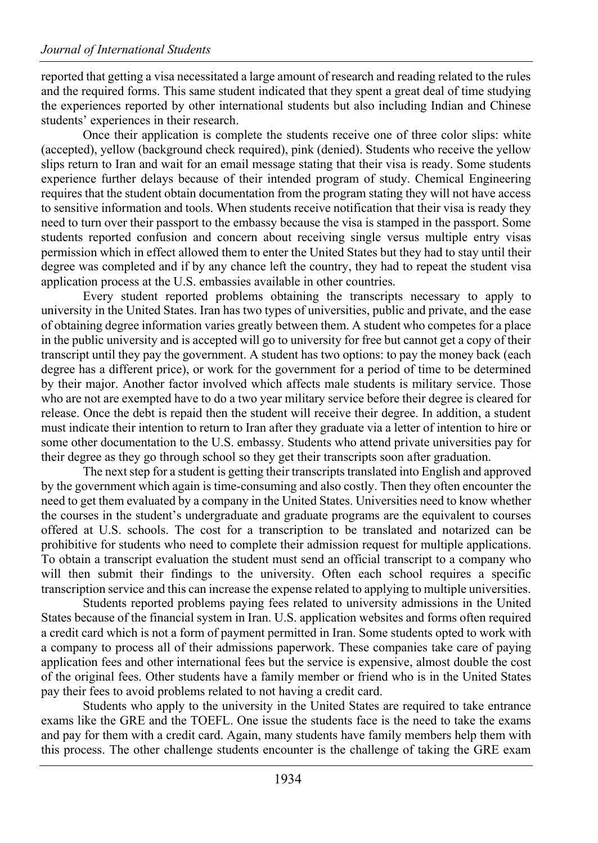reported that getting a visa necessitated a large amount of research and reading related to the rules and the required forms. This same student indicated that they spent a great deal of time studying the experiences reported by other international students but also including Indian and Chinese students' experiences in their research.

Once their application is complete the students receive one of three color slips: white (accepted), yellow (background check required), pink (denied). Students who receive the yellow slips return to Iran and wait for an email message stating that their visa is ready. Some students experience further delays because of their intended program of study. Chemical Engineering requires that the student obtain documentation from the program stating they will not have access to sensitive information and tools. When students receive notification that their visa is ready they need to turn over their passport to the embassy because the visa is stamped in the passport. Some students reported confusion and concern about receiving single versus multiple entry visas permission which in effect allowed them to enter the United States but they had to stay until their degree was completed and if by any chance left the country, they had to repeat the student visa application process at the U.S. embassies available in other countries.

Every student reported problems obtaining the transcripts necessary to apply to university in the United States. Iran has two types of universities, public and private, and the ease of obtaining degree information varies greatly between them. A student who competes for a place in the public university and is accepted will go to university for free but cannot get a copy of their transcript until they pay the government. A student has two options: to pay the money back (each degree has a different price), or work for the government for a period of time to be determined by their major. Another factor involved which affects male students is military service. Those who are not are exempted have to do a two year military service before their degree is cleared for release. Once the debt is repaid then the student will receive their degree. In addition, a student must indicate their intention to return to Iran after they graduate via a letter of intention to hire or some other documentation to the U.S. embassy. Students who attend private universities pay for their degree as they go through school so they get their transcripts soon after graduation.

The next step for a student is getting their transcripts translated into English and approved by the government which again is time-consuming and also costly. Then they often encounter the need to get them evaluated by a company in the United States. Universities need to know whether the courses in the student's undergraduate and graduate programs are the equivalent to courses offered at U.S. schools. The cost for a transcription to be translated and notarized can be prohibitive for students who need to complete their admission request for multiple applications. To obtain a transcript evaluation the student must send an official transcript to a company who will then submit their findings to the university. Often each school requires a specific transcription service and this can increase the expense related to applying to multiple universities.

Students reported problems paying fees related to university admissions in the United States because of the financial system in Iran. U.S. application websites and forms often required a credit card which is not a form of payment permitted in Iran. Some students opted to work with a company to process all of their admissions paperwork. These companies take care of paying application fees and other international fees but the service is expensive, almost double the cost of the original fees. Other students have a family member or friend who is in the United States pay their fees to avoid problems related to not having a credit card.

Students who apply to the university in the United States are required to take entrance exams like the GRE and the TOEFL. One issue the students face is the need to take the exams and pay for them with a credit card. Again, many students have family members help them with this process. The other challenge students encounter is the challenge of taking the GRE exam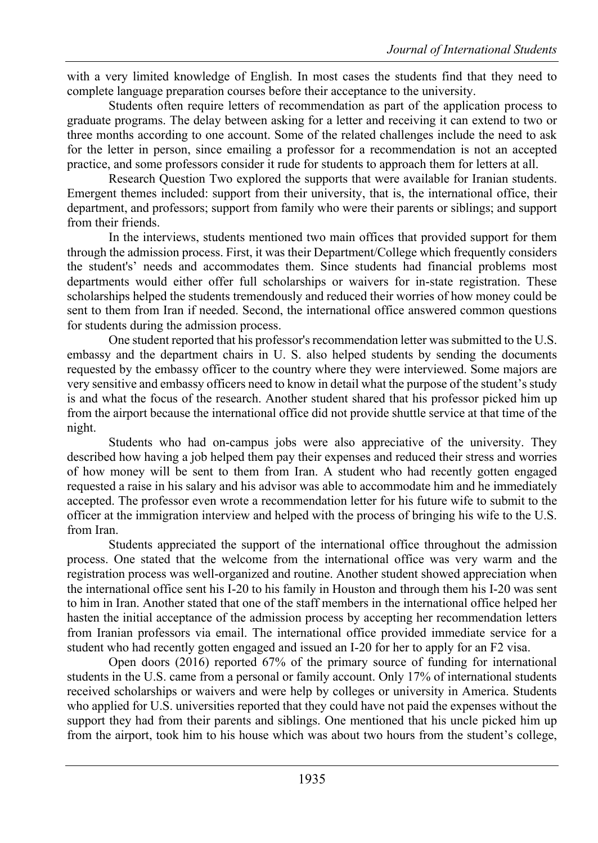with a very limited knowledge of English. In most cases the students find that they need to complete language preparation courses before their acceptance to the university.

Students often require letters of recommendation as part of the application process to graduate programs. The delay between asking for a letter and receiving it can extend to two or three months according to one account. Some of the related challenges include the need to ask for the letter in person, since emailing a professor for a recommendation is not an accepted practice, and some professors consider it rude for students to approach them for letters at all.

Research Question Two explored the supports that were available for Iranian students. Emergent themes included: support from their university, that is, the international office, their department, and professors; support from family who were their parents or siblings; and support from their friends.

In the interviews, students mentioned two main offices that provided support for them through the admission process. First, it was their Department/College which frequently considers the student's' needs and accommodates them. Since students had financial problems most departments would either offer full scholarships or waivers for in-state registration. These scholarships helped the students tremendously and reduced their worries of how money could be sent to them from Iran if needed. Second, the international office answered common questions for students during the admission process.

One student reported that his professor's recommendation letter was submitted to the U.S. embassy and the department chairs in U. S. also helped students by sending the documents requested by the embassy officer to the country where they were interviewed. Some majors are very sensitive and embassy officers need to know in detail what the purpose of the student's study is and what the focus of the research. Another student shared that his professor picked him up from the airport because the international office did not provide shuttle service at that time of the night.

Students who had on-campus jobs were also appreciative of the university. They described how having a job helped them pay their expenses and reduced their stress and worries of how money will be sent to them from Iran. A student who had recently gotten engaged requested a raise in his salary and his advisor was able to accommodate him and he immediately accepted. The professor even wrote a recommendation letter for his future wife to submit to the officer at the immigration interview and helped with the process of bringing his wife to the U.S. from Iran.

Students appreciated the support of the international office throughout the admission process. One stated that the welcome from the international office was very warm and the registration process was well-organized and routine. Another student showed appreciation when the international office sent his I-20 to his family in Houston and through them his I-20 was sent to him in Iran. Another stated that one of the staff members in the international office helped her hasten the initial acceptance of the admission process by accepting her recommendation letters from Iranian professors via email. The international office provided immediate service for a student who had recently gotten engaged and issued an I-20 for her to apply for an F2 visa.

Open doors (2016) reported 67% of the primary source of funding for international students in the U.S. came from a personal or family account. Only 17% of international students received scholarships or waivers and were help by colleges or university in America. Students who applied for U.S. universities reported that they could have not paid the expenses without the support they had from their parents and siblings. One mentioned that his uncle picked him up from the airport, took him to his house which was about two hours from the student's college,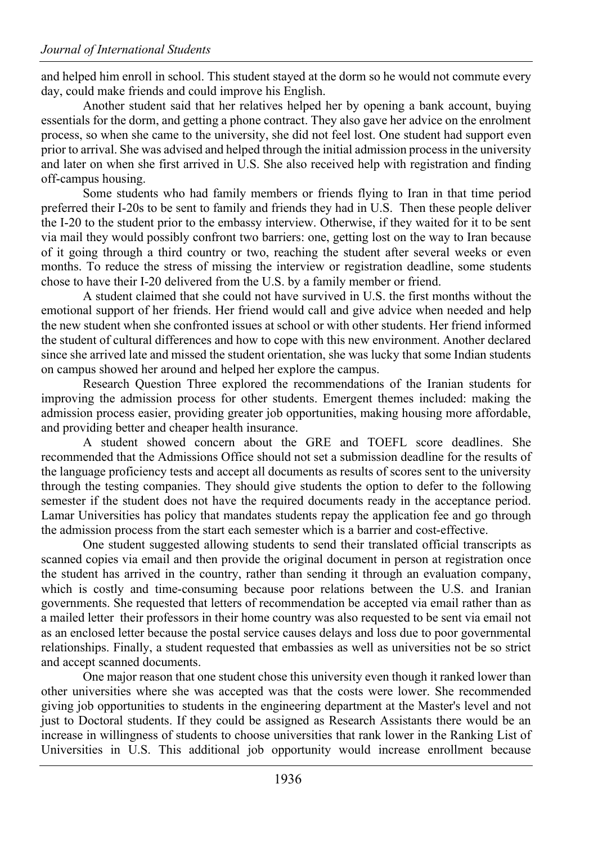and helped him enroll in school. This student stayed at the dorm so he would not commute every day, could make friends and could improve his English.

Another student said that her relatives helped her by opening a bank account, buying essentials for the dorm, and getting a phone contract. They also gave her advice on the enrolment process, so when she came to the university, she did not feel lost. One student had support even prior to arrival. She was advised and helped through the initial admission process in the university and later on when she first arrived in U.S. She also received help with registration and finding off-campus housing.

Some students who had family members or friends flying to Iran in that time period preferred their I-20s to be sent to family and friends they had in U.S. Then these people deliver the I-20 to the student prior to the embassy interview. Otherwise, if they waited for it to be sent via mail they would possibly confront two barriers: one, getting lost on the way to Iran because of it going through a third country or two, reaching the student after several weeks or even months. To reduce the stress of missing the interview or registration deadline, some students chose to have their I-20 delivered from the U.S. by a family member or friend.

A student claimed that she could not have survived in U.S. the first months without the emotional support of her friends. Her friend would call and give advice when needed and help the new student when she confronted issues at school or with other students. Her friend informed the student of cultural differences and how to cope with this new environment. Another declared since she arrived late and missed the student orientation, she was lucky that some Indian students on campus showed her around and helped her explore the campus.

Research Question Three explored the recommendations of the Iranian students for improving the admission process for other students. Emergent themes included: making the admission process easier, providing greater job opportunities, making housing more affordable, and providing better and cheaper health insurance.

A student showed concern about the GRE and TOEFL score deadlines. She recommended that the Admissions Office should not set a submission deadline for the results of the language proficiency tests and accept all documents as results of scores sent to the university through the testing companies. They should give students the option to defer to the following semester if the student does not have the required documents ready in the acceptance period. Lamar Universities has policy that mandates students repay the application fee and go through the admission process from the start each semester which is a barrier and cost-effective.

One student suggested allowing students to send their translated official transcripts as scanned copies via email and then provide the original document in person at registration once the student has arrived in the country, rather than sending it through an evaluation company, which is costly and time-consuming because poor relations between the U.S. and Iranian governments. She requested that letters of recommendation be accepted via email rather than as a mailed letter their professors in their home country was also requested to be sent via email not as an enclosed letter because the postal service causes delays and loss due to poor governmental relationships. Finally, a student requested that embassies as well as universities not be so strict and accept scanned documents.

One major reason that one student chose this university even though it ranked lower than other universities where she was accepted was that the costs were lower. She recommended giving job opportunities to students in the engineering department at the Master's level and not just to Doctoral students. If they could be assigned as Research Assistants there would be an increase in willingness of students to choose universities that rank lower in the Ranking List of Universities in U.S. This additional job opportunity would increase enrollment because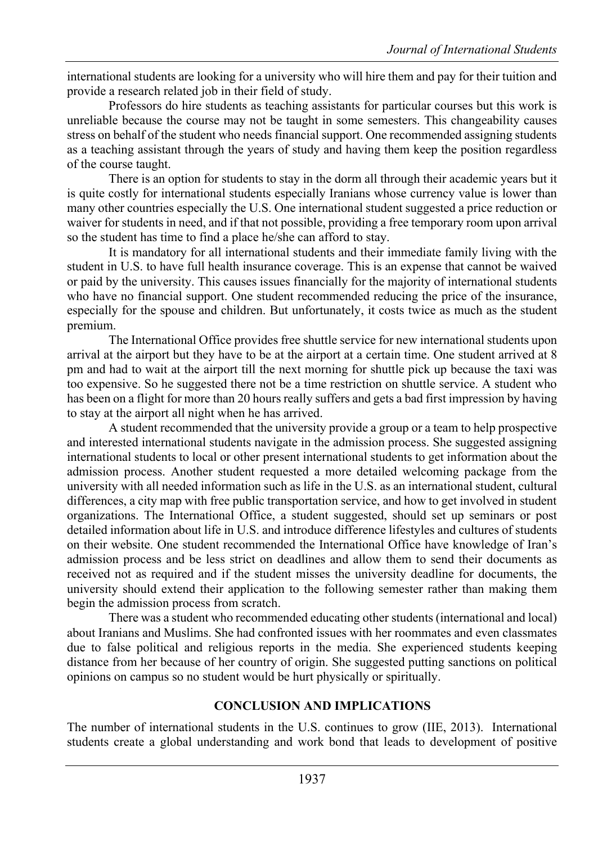international students are looking for a university who will hire them and pay for their tuition and provide a research related job in their field of study.

Professors do hire students as teaching assistants for particular courses but this work is unreliable because the course may not be taught in some semesters. This changeability causes stress on behalf of the student who needs financial support. One recommended assigning students as a teaching assistant through the years of study and having them keep the position regardless of the course taught.

There is an option for students to stay in the dorm all through their academic years but it is quite costly for international students especially Iranians whose currency value is lower than many other countries especially the U.S. One international student suggested a price reduction or waiver for students in need, and if that not possible, providing a free temporary room upon arrival so the student has time to find a place he/she can afford to stay.

It is mandatory for all international students and their immediate family living with the student in U.S. to have full health insurance coverage. This is an expense that cannot be waived or paid by the university. This causes issues financially for the majority of international students who have no financial support. One student recommended reducing the price of the insurance, especially for the spouse and children. But unfortunately, it costs twice as much as the student premium.

The International Office provides free shuttle service for new international students upon arrival at the airport but they have to be at the airport at a certain time. One student arrived at 8 pm and had to wait at the airport till the next morning for shuttle pick up because the taxi was too expensive. So he suggested there not be a time restriction on shuttle service. A student who has been on a flight for more than 20 hours really suffers and gets a bad first impression by having to stay at the airport all night when he has arrived.

A student recommended that the university provide a group or a team to help prospective and interested international students navigate in the admission process. She suggested assigning international students to local or other present international students to get information about the admission process. Another student requested a more detailed welcoming package from the university with all needed information such as life in the U.S. as an international student, cultural differences, a city map with free public transportation service, and how to get involved in student organizations. The International Office, a student suggested, should set up seminars or post detailed information about life in U.S. and introduce difference lifestyles and cultures of students on their website. One student recommended the International Office have knowledge of Iran's admission process and be less strict on deadlines and allow them to send their documents as received not as required and if the student misses the university deadline for documents, the university should extend their application to the following semester rather than making them begin the admission process from scratch.

There was a student who recommended educating other students (international and local) about Iranians and Muslims. She had confronted issues with her roommates and even classmates due to false political and religious reports in the media. She experienced students keeping distance from her because of her country of origin. She suggested putting sanctions on political opinions on campus so no student would be hurt physically or spiritually.

### **CONCLUSION AND IMPLICATIONS**

The number of international students in the U.S. continues to grow (IIE, 2013). International students create a global understanding and work bond that leads to development of positive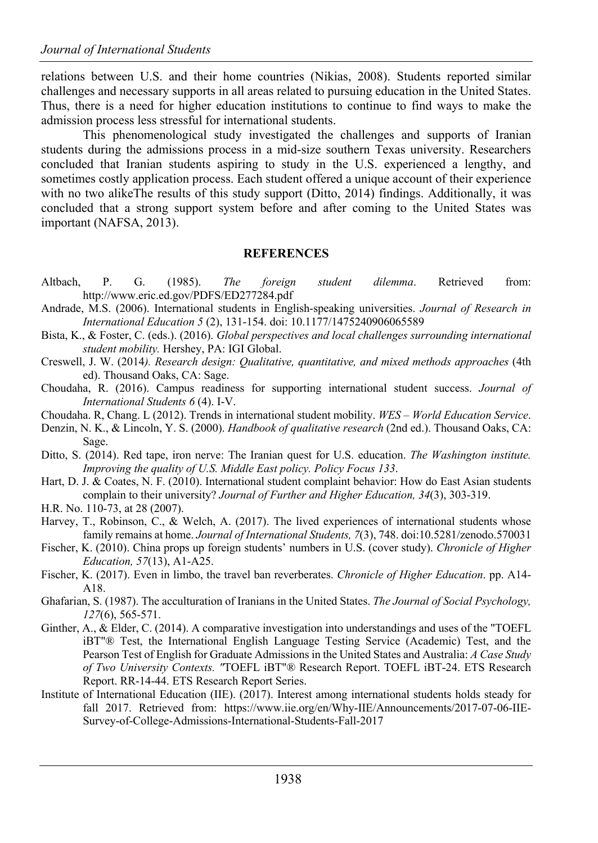relations between U.S. and their home countries (Nikias, 2008). Students reported similar challenges and necessary supports in all areas related to pursuing education in the United States. Thus, there is a need for higher education institutions to continue to find ways to make the admission process less stressful for international students.

This phenomenological study investigated the challenges and supports of Iranian students during the admissions process in a mid-size southern Texas university. Researchers concluded that Iranian students aspiring to study in the U.S. experienced a lengthy, and sometimes costly application process. Each student offered a unique account of their experience with no two alikeThe results of this study support (Ditto, 2014) findings. Additionally, it was concluded that a strong support system before and after coming to the United States was important (NAFSA, 2013).

#### **REFERENCES**

- Altbach, P. G. (1985). *The foreign student dilemma*. Retrieved from: http://www.eric.ed.gov/PDFS/ED277284.pdf
- Andrade, M.S. (2006). International students in English-speaking universities. *Journal of Research in International Education 5* (2), 131-154. doi: 10.1177/1475240906065589
- Bista, K., & Foster, C. (eds.). (2016). *Global perspectives and local challenges surrounding international student mobility.* Hershey, PA: IGI Global.
- Creswell, J. W. (2014*). Research design: Qualitative, quantitative, and mixed methods approaches* (4th ed). Thousand Oaks, CA: Sage.
- Choudaha, R. (2016). Campus readiness for supporting international student success. *Journal of International Students 6* (4). I-V.
- Choudaha. R, Chang. L (2012). Trends in international student mobility. *WES – World Education Service*.
- Denzin, N. K., & Lincoln, Y. S. (2000). *Handbook of qualitative research* (2nd ed.). Thousand Oaks, CA: Sage.
- Ditto, S. (2014). Red tape, iron nerve: The Iranian quest for U.S. education. *The Washington institute. Improving the quality of U.S. Middle East policy. Policy Focus 133*.
- Hart, D. J. & Coates, N. F. (2010). International student complaint behavior: How do East Asian students complain to their university? *Journal of Further and Higher Education, 34*(3), 303-319.
- H.R. No. 110-73, at 28 (2007).
- Harvey, T., Robinson, C., & Welch, A. (2017). The lived experiences of international students whose family remains at home. *Journal of International Students, 7*(3), 748. doi:10.5281/zenodo.570031
- Fischer, K. (2010). China props up foreign students' numbers in U.S. (cover study). *Chronicle of Higher Education, 57*(13), A1-A25.
- Fischer, K. (2017). Even in limbo, the travel ban reverberates. *Chronicle of Higher Education*. pp. A14- A18.
- Ghafarian, S. (1987). The acculturation of Iranians in the United States. *The Journal of Social Psychology, 127*(6), 565-571.
- Ginther, A., & Elder, C. (2014). A comparative investigation into understandings and uses of the "TOEFL iBT"® Test, the International English Language Testing Service (Academic) Test, and the Pearson Test of English for Graduate Admissions in the United States and Australia: *A Case Study of Two University Contexts. "*TOEFL iBT"® Research Report. TOEFL iBT-24. ETS Research Report. RR-14-44. ETS Research Report Series.
- Institute of International Education (IIE). (2017). Interest among international students holds steady for fall 2017. Retrieved from: https://www.iie.org/en/Why-IIE/Announcements/2017-07-06-IIE-Survey-of-College-Admissions-International-Students-Fall-2017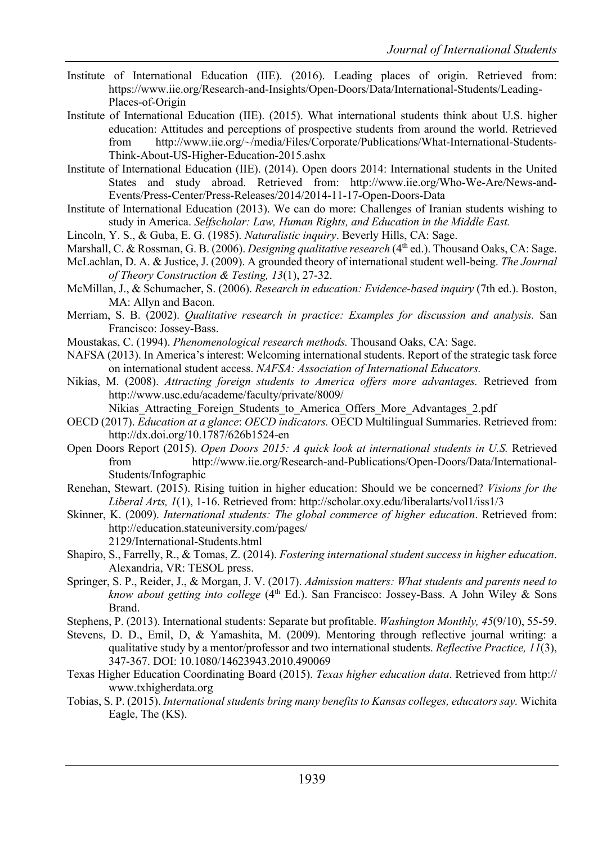- Institute of International Education (IIE). (2016). Leading places of origin. Retrieved from: https://www.iie.org/Research-and-Insights/Open-Doors/Data/International-Students/Leading-Places-of-Origin
- Institute of International Education (IIE). (2015). What international students think about U.S. higher education: Attitudes and perceptions of prospective students from around the world. Retrieved from http://www.iie.org/~/media/Files/Corporate/Publications/What-International-Students-Think-About-US-Higher-Education-2015.ashx
- Institute of International Education (IIE). (2014). Open doors 2014: International students in the United States and study abroad. Retrieved from: http://www.iie.org/Who-We-Are/News-and-Events/Press-Center/Press-Releases/2014/2014-11-17-Open-Doors-Data
- Institute of International Education (2013). We can do more: Challenges of Iranian students wishing to study in America. *Selfscholar: Law, Human Rights, and Education in the Middle East.*
- Lincoln, Y. S., & Guba, E. G. (1985). *Naturalistic inquiry*. Beverly Hills, CA: Sage.
- Marshall, C. & Rossman, G. B. (2006). *Designing qualitative research* (4<sup>th</sup> ed.). Thousand Oaks, CA: Sage.
- McLachlan, D. A. & Justice, J. (2009). A grounded theory of international student well-being. *The Journal of Theory Construction & Testing, 13*(1), 27-32.
- McMillan, J., & Schumacher, S. (2006). *Research in education: Evidence-based inquiry* (7th ed.). Boston, MA: Allyn and Bacon.
- Merriam, S. B. (2002). *Qualitative research in practice: Examples for discussion and analysis.* San Francisco: Jossey-Bass.
- Moustakas, C. (1994). *Phenomenological research methods.* Thousand Oaks, CA: Sage.
- NAFSA (2013). In America's interest: Welcoming international students. Report of the strategic task force on international student access. *NAFSA: Association of International Educators.*
- Nikias, M. (2008). *Attracting foreign students to America offers more advantages.* Retrieved from http://www.usc.edu/academe/faculty/private/8009/
	- Nikias Attracting Foreign Students to America Offers More Advantages 2.pdf
- OECD (2017). *Education at a glance*: *OECD indicators.* OECD Multilingual Summaries. Retrieved from: http://dx.doi.org/10.1787/626b1524-en
- Open Doors Report (2015). *Open Doors 2015: A quick look at international students in U.S.* Retrieved from http://www.iie.org/Research-and-Publications/Open-Doors/Data/International-Students/Infographic
- Renehan, Stewart. (2015). Rising tuition in higher education: Should we be concerned? *Visions for the Liberal Arts, 1*(1), 1-16. Retrieved from: http://scholar.oxy.edu/liberalarts/vol1/iss1/3
- Skinner, K. (2009). *International students: The global commerce of higher education*. Retrieved from: http://education.stateuniversity.com/pages/ 2129/International-Students.html
- Shapiro, S., Farrelly, R., & Tomas, Z. (2014). *Fostering international student success in higher education*. Alexandria, VR: TESOL press.
- Springer, S. P., Reider, J., & Morgan, J. V. (2017). *Admission matters: What students and parents need to know about getting into college* (4th Ed.). San Francisco: Jossey-Bass. A John Wiley & Sons Brand.
- Stephens, P. (2013). International students: Separate but profitable. *Washington Monthly, 45*(9/10), 55-59.
- Stevens, D. D., Emil, D, & Yamashita, M. (2009). Mentoring through reflective journal writing: a qualitative study by a mentor/professor and two international students. *Reflective Practice, 11*(3), 347-367. DOI: 10.1080/14623943.2010.490069
- Texas Higher Education Coordinating Board (2015). *Texas higher education data*. Retrieved from http:// www.txhigherdata.org
- Tobias, S. P. (2015). *International students bring many benefits to Kansas colleges, educators say.* Wichita Eagle, The (KS).